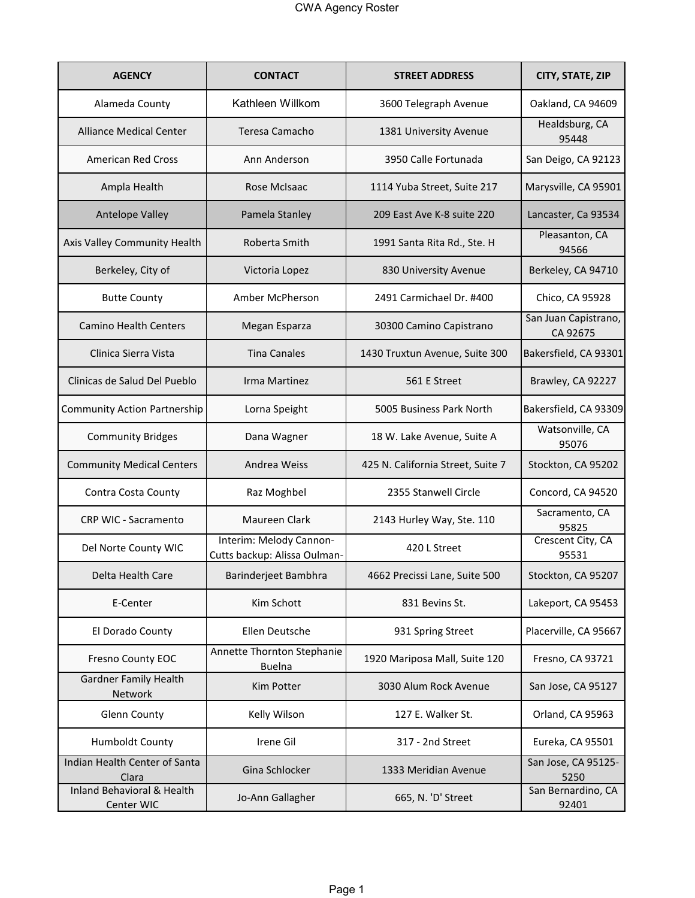| <b>AGENCY</b>                                       | <b>CONTACT</b>                                          | <b>STREET ADDRESS</b>             | CITY, STATE, ZIP                 |
|-----------------------------------------------------|---------------------------------------------------------|-----------------------------------|----------------------------------|
| Alameda County                                      | Kathleen Willkom                                        | 3600 Telegraph Avenue             | Oakland, CA 94609                |
| <b>Alliance Medical Center</b>                      | Teresa Camacho                                          | 1381 University Avenue            | Healdsburg, CA<br>95448          |
| <b>American Red Cross</b>                           | Ann Anderson                                            | 3950 Calle Fortunada              | San Deigo, CA 92123              |
| Ampla Health                                        | Rose McIsaac                                            | 1114 Yuba Street, Suite 217       | Marysville, CA 95901             |
| <b>Antelope Valley</b>                              | Pamela Stanley                                          | 209 East Ave K-8 suite 220        | Lancaster, Ca 93534              |
| Axis Valley Community Health                        | Roberta Smith                                           | 1991 Santa Rita Rd., Ste. H       | Pleasanton, CA<br>94566          |
| Berkeley, City of                                   | Victoria Lopez                                          | 830 University Avenue             | Berkeley, CA 94710               |
| <b>Butte County</b>                                 | Amber McPherson                                         | 2491 Carmichael Dr. #400          | Chico, CA 95928                  |
| <b>Camino Health Centers</b>                        | Megan Esparza                                           | 30300 Camino Capistrano           | San Juan Capistrano,<br>CA 92675 |
| Clinica Sierra Vista                                | <b>Tina Canales</b>                                     | 1430 Truxtun Avenue, Suite 300    | Bakersfield, CA 93301            |
| Clinicas de Salud Del Pueblo                        | Irma Martinez                                           | 561 E Street                      | Brawley, CA 92227                |
| <b>Community Action Partnership</b>                 | Lorna Speight                                           | 5005 Business Park North          | Bakersfield, CA 93309            |
| <b>Community Bridges</b>                            | Dana Wagner                                             | 18 W. Lake Avenue, Suite A        | Watsonville, CA<br>95076         |
| <b>Community Medical Centers</b>                    | Andrea Weiss                                            | 425 N. California Street, Suite 7 | Stockton, CA 95202               |
| Contra Costa County                                 | Raz Moghbel                                             | 2355 Stanwell Circle              | Concord, CA 94520                |
| CRP WIC - Sacramento                                | <b>Maureen Clark</b>                                    | 2143 Hurley Way, Ste. 110         | Sacramento, CA<br>95825          |
| Del Norte County WIC                                | Interim: Melody Cannon-<br>Cutts backup: Alissa Oulman- | 420 L Street                      | Crescent City, CA<br>95531       |
| Delta Health Care                                   | Barinderjeet Bambhra                                    | 4662 Precissi Lane, Suite 500     | Stockton, CA 95207               |
| E-Center                                            | Kim Schott                                              | 831 Bevins St.                    | Lakeport, CA 95453               |
| El Dorado County                                    | Ellen Deutsche                                          | 931 Spring Street                 | Placerville, CA 95667            |
| Fresno County EOC                                   | Annette Thornton Stephanie<br><b>Buelna</b>             | 1920 Mariposa Mall, Suite 120     | Fresno, CA 93721                 |
| <b>Gardner Family Health</b><br>Network             | Kim Potter                                              | 3030 Alum Rock Avenue             | San Jose, CA 95127               |
| <b>Glenn County</b>                                 | Kelly Wilson                                            | 127 E. Walker St.                 | Orland, CA 95963                 |
| Humboldt County                                     | Irene Gil                                               | 317 - 2nd Street                  | Eureka, CA 95501                 |
| Indian Health Center of Santa<br>Clara              | Gina Schlocker                                          | 1333 Meridian Avenue              | San Jose, CA 95125-<br>5250      |
| <b>Inland Behavioral &amp; Health</b><br>Center WIC | Jo-Ann Gallagher                                        | 665, N. 'D' Street                | San Bernardino, CA<br>92401      |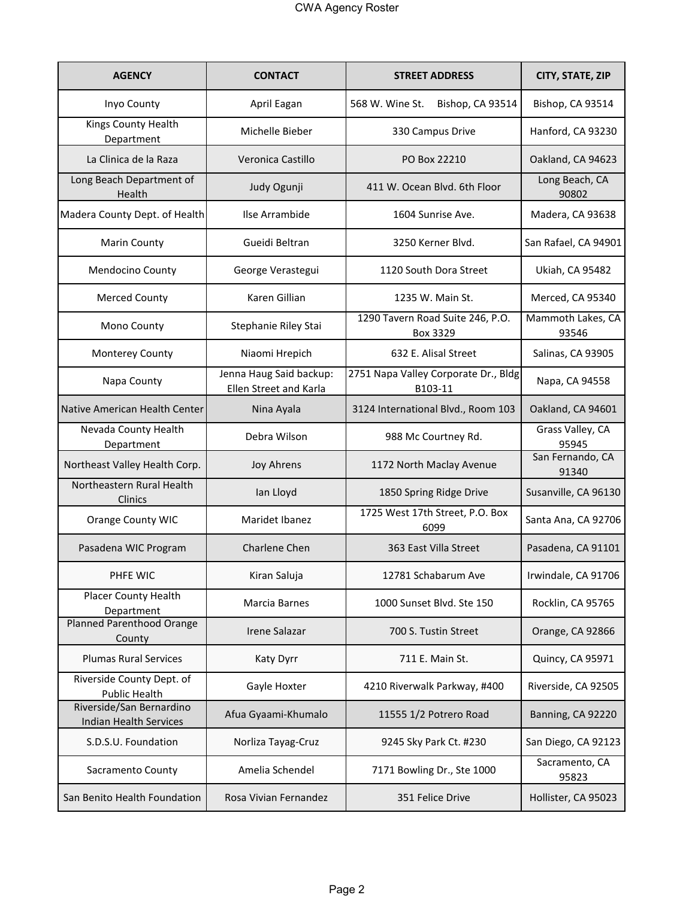| <b>AGENCY</b>                                             | <b>CONTACT</b>                                    | <b>STREET ADDRESS</b>                           | CITY, STATE, ZIP           |
|-----------------------------------------------------------|---------------------------------------------------|-------------------------------------------------|----------------------------|
| Inyo County                                               | April Eagan                                       | 568 W. Wine St.<br>Bishop, CA 93514             | Bishop, CA 93514           |
| Kings County Health<br>Department                         | Michelle Bieber                                   | 330 Campus Drive                                | Hanford, CA 93230          |
| La Clinica de la Raza                                     | Veronica Castillo                                 | PO Box 22210                                    | Oakland, CA 94623          |
| Long Beach Department of<br>Health                        | Judy Ogunji                                       | 411 W. Ocean Blvd. 6th Floor                    | Long Beach, CA<br>90802    |
| Madera County Dept. of Health                             | Ilse Arrambide                                    | 1604 Sunrise Ave.                               | Madera, CA 93638           |
| <b>Marin County</b>                                       | Gueidi Beltran                                    | 3250 Kerner Blvd.                               | San Rafael, CA 94901       |
| Mendocino County                                          | George Verastegui                                 | 1120 South Dora Street                          | Ukiah, CA 95482            |
| <b>Merced County</b>                                      | Karen Gillian                                     | 1235 W. Main St.                                | Merced, CA 95340           |
| Mono County                                               | Stephanie Riley Stai                              | 1290 Tavern Road Suite 246, P.O.<br>Box 3329    | Mammoth Lakes, CA<br>93546 |
| Monterey County                                           | Niaomi Hrepich                                    | 632 E. Alisal Street                            | Salinas, CA 93905          |
| Napa County                                               | Jenna Haug Said backup:<br>Ellen Street and Karla | 2751 Napa Valley Corporate Dr., Bldg<br>B103-11 | Napa, CA 94558             |
| Native American Health Center                             | Nina Ayala                                        | 3124 International Blvd., Room 103              | Oakland, CA 94601          |
| Nevada County Health<br>Department                        | Debra Wilson                                      | 988 Mc Courtney Rd.                             | Grass Valley, CA<br>95945  |
| Northeast Valley Health Corp.                             | <b>Joy Ahrens</b>                                 | 1172 North Maclay Avenue                        | San Fernando, CA<br>91340  |
| Northeastern Rural Health<br>Clinics                      | Ian Lloyd                                         | 1850 Spring Ridge Drive                         | Susanville, CA 96130       |
| Orange County WIC                                         | Maridet Ibanez                                    | 1725 West 17th Street, P.O. Box<br>6099         | Santa Ana, CA 92706        |
| Pasadena WIC Program                                      | Charlene Chen                                     | 363 East Villa Street                           | Pasadena, CA 91101         |
| PHFE WIC                                                  | Kiran Saluja                                      | 12781 Schabarum Ave                             | Irwindale, CA 91706        |
| Placer County Health<br>Department                        | Marcia Barnes                                     | 1000 Sunset Blvd. Ste 150                       | Rocklin, CA 95765          |
| Planned Parenthood Orange<br>County                       | <b>Irene Salazar</b>                              | 700 S. Tustin Street                            | Orange, CA 92866           |
| <b>Plumas Rural Services</b>                              | Katy Dyrr                                         | 711 E. Main St.                                 | Quincy, CA 95971           |
| Riverside County Dept. of<br><b>Public Health</b>         | Gayle Hoxter                                      | 4210 Riverwalk Parkway, #400                    | Riverside, CA 92505        |
| Riverside/San Bernardino<br><b>Indian Health Services</b> | Afua Gyaami-Khumalo                               | 11555 1/2 Potrero Road                          | Banning, CA 92220          |
| S.D.S.U. Foundation                                       | Norliza Tayag-Cruz                                | 9245 Sky Park Ct. #230                          | San Diego, CA 92123        |
| Sacramento County                                         | Amelia Schendel                                   | 7171 Bowling Dr., Ste 1000                      | Sacramento, CA<br>95823    |
| San Benito Health Foundation                              | Rosa Vivian Fernandez                             | 351 Felice Drive                                | Hollister, CA 95023        |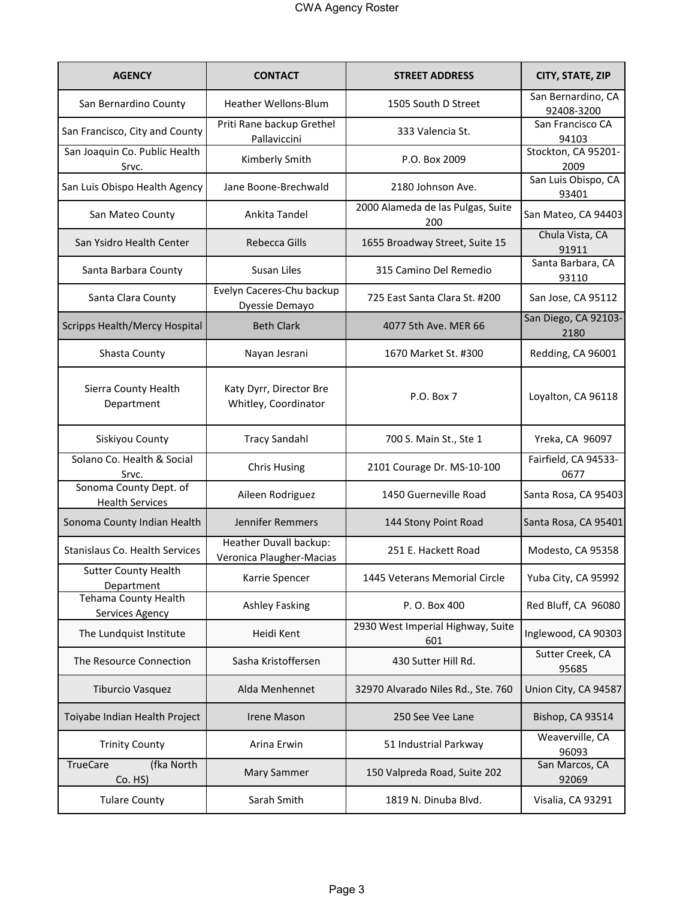| <b>AGENCY</b>                                    | <b>CONTACT</b>                                     | <b>STREET ADDRESS</b>                    | CITY, STATE, ZIP                 |
|--------------------------------------------------|----------------------------------------------------|------------------------------------------|----------------------------------|
| San Bernardino County                            | <b>Heather Wellons-Blum</b>                        | 1505 South D Street                      | San Bernardino, CA<br>92408-3200 |
| San Francisco, City and County                   | Priti Rane backup Grethel<br>Pallaviccini          | 333 Valencia St.                         | San Francisco CA<br>94103        |
| San Joaquin Co. Public Health<br>Srvc.           | Kimberly Smith                                     | P.O. Box 2009                            | Stockton, CA 95201-<br>2009      |
| San Luis Obispo Health Agency                    | Jane Boone-Brechwald                               | 2180 Johnson Ave.                        | San Luis Obispo, CA<br>93401     |
| San Mateo County                                 | Ankita Tandel                                      | 2000 Alameda de las Pulgas, Suite<br>200 | San Mateo, CA 94403              |
| San Ysidro Health Center                         | Rebecca Gills                                      | 1655 Broadway Street, Suite 15           | Chula Vista, CA<br>91911         |
| Santa Barbara County                             | Susan Liles                                        | 315 Camino Del Remedio                   | Santa Barbara, CA<br>93110       |
| Santa Clara County                               | Evelyn Caceres-Chu backup<br>Dyessie Demayo        | 725 East Santa Clara St. #200            | San Jose, CA 95112               |
| <b>Scripps Health/Mercy Hospital</b>             | <b>Beth Clark</b>                                  | 4077 5th Ave. MER 66                     | San Diego, CA 92103-<br>2180     |
| Shasta County                                    | Nayan Jesrani                                      | 1670 Market St. #300                     | Redding, CA 96001                |
| Sierra County Health<br>Department               | Katy Dyrr, Director Bre<br>Whitley, Coordinator    | P.O. Box 7                               | Loyalton, CA 96118               |
| Siskiyou County                                  | <b>Tracy Sandahl</b>                               | 700 S. Main St., Ste 1                   | Yreka, CA 96097                  |
| Solano Co. Health & Social<br>Srvc.              | <b>Chris Husing</b>                                | 2101 Courage Dr. MS-10-100               | Fairfield, CA 94533-<br>0677     |
| Sonoma County Dept. of<br><b>Health Services</b> | Aileen Rodriguez                                   | 1450 Guerneville Road                    | Santa Rosa, CA 95403             |
| Sonoma County Indian Health                      | Jennifer Remmers                                   | 144 Stony Point Road                     | Santa Rosa, CA 95401             |
| <b>Stanislaus Co. Health Services</b>            | Heather Duvall backup:<br>Veronica Plaugher-Macias | 251 E. Hackett Road                      | Modesto, CA 95358                |
| Sutter County Health<br>Department               | Karrie Spencer                                     | 1445 Veterans Memorial Circle            | Yuba City, CA 95992              |
| Tehama County Health<br>Services Agency          | <b>Ashley Fasking</b>                              | P. O. Box 400                            | Red Bluff, CA 96080              |
| The Lundquist Institute                          | Heidi Kent                                         | 2930 West Imperial Highway, Suite<br>601 | Inglewood, CA 90303              |
| The Resource Connection                          | Sasha Kristoffersen                                | 430 Sutter Hill Rd.                      | Sutter Creek, CA<br>95685        |
| <b>Tiburcio Vasquez</b>                          | Alda Menhennet                                     | 32970 Alvarado Niles Rd., Ste. 760       | Union City, CA 94587             |
| Toiyabe Indian Health Project                    | Irene Mason                                        | 250 See Vee Lane                         | Bishop, CA 93514                 |
| <b>Trinity County</b>                            | Arina Erwin                                        | 51 Industrial Parkway                    | Weaverville, CA<br>96093         |
| <b>TrueCare</b><br>(fka North<br>Co. HS)         | Mary Sammer                                        | 150 Valpreda Road, Suite 202             | San Marcos, CA<br>92069          |
| <b>Tulare County</b>                             | Sarah Smith                                        | 1819 N. Dinuba Blvd.                     | Visalia, CA 93291                |